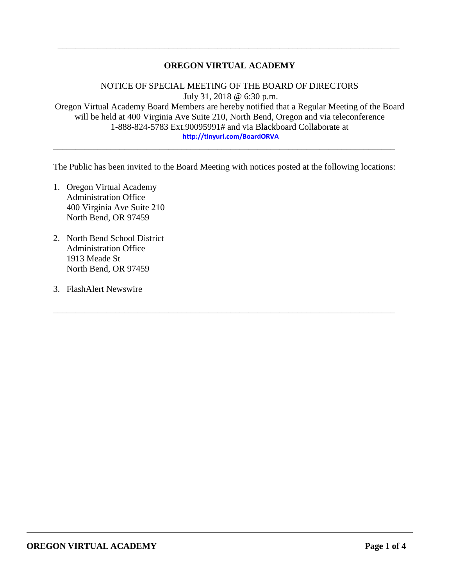## **OREGON VIRTUAL ACADEMY**

\_\_\_\_\_\_\_\_\_\_\_\_\_\_\_\_\_\_\_\_\_\_\_\_\_\_\_\_\_\_\_\_\_\_\_\_\_\_\_\_\_\_\_\_\_\_\_\_\_\_\_\_\_\_\_\_\_\_\_\_\_\_\_\_\_\_\_\_\_\_\_\_\_\_\_\_\_

NOTICE OF SPECIAL MEETING OF THE BOARD OF DIRECTORS July 31, 2018 @ 6:30 p.m. Oregon Virtual Academy Board Members are hereby notified that a Regular Meeting of the Board will be held at 400 Virginia Ave Suite 210, North Bend, Oregon and via teleconference 1-888-824-5783 Ext.90095991# and via Blackboard Collaborate at **<http://tinyurl.com/BoardORVA>**

The Public has been invited to the Board Meeting with notices posted at the following locations:

\_\_\_\_\_\_\_\_\_\_\_\_\_\_\_\_\_\_\_\_\_\_\_\_\_\_\_\_\_\_\_\_\_\_\_\_\_\_\_\_\_\_\_\_\_\_\_\_\_\_\_\_\_\_\_\_\_\_\_\_\_\_\_\_\_\_\_\_\_\_\_\_\_\_\_\_\_

\_\_\_\_\_\_\_\_\_\_\_\_\_\_\_\_\_\_\_\_\_\_\_\_\_\_\_\_\_\_\_\_\_\_\_\_\_\_\_\_\_\_\_\_\_\_\_\_\_\_\_\_\_\_\_\_\_\_\_\_\_\_\_\_\_\_\_\_\_\_\_\_\_\_\_\_\_

- 1. Oregon Virtual Academy Administration Office 400 Virginia Ave Suite 210 North Bend, OR 97459
- 2. North Bend School District Administration Office 1913 Meade St North Bend, OR 97459
- 3. FlashAlert Newswire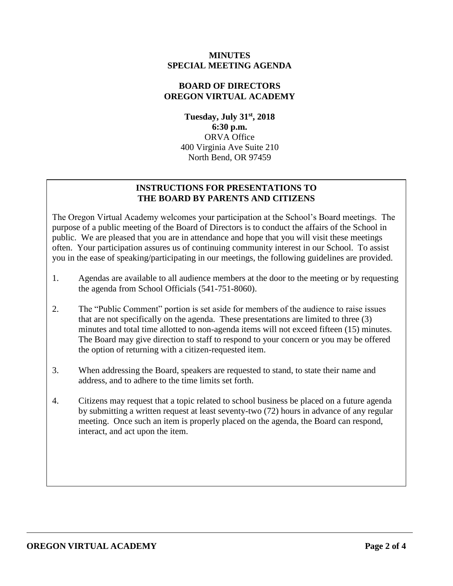## **MINUTES SPECIAL MEETING AGENDA**

## **BOARD OF DIRECTORS OREGON VIRTUAL ACADEMY**

**Tuesday, July 31st , 2018 6:30 p.m.** ORVA Office 400 Virginia Ave Suite 210 North Bend, OR 97459

## **INSTRUCTIONS FOR PRESENTATIONS TO THE BOARD BY PARENTS AND CITIZENS**

The Oregon Virtual Academy welcomes your participation at the School's Board meetings. The purpose of a public meeting of the Board of Directors is to conduct the affairs of the School in public. We are pleased that you are in attendance and hope that you will visit these meetings often. Your participation assures us of continuing community interest in our School. To assist you in the ease of speaking/participating in our meetings, the following guidelines are provided.

- 1. Agendas are available to all audience members at the door to the meeting or by requesting the agenda from School Officials (541-751-8060).
- 2. The "Public Comment" portion is set aside for members of the audience to raise issues that are not specifically on the agenda. These presentations are limited to three (3) minutes and total time allotted to non-agenda items will not exceed fifteen (15) minutes. The Board may give direction to staff to respond to your concern or you may be offered the option of returning with a citizen-requested item.
- 3. When addressing the Board, speakers are requested to stand, to state their name and address, and to adhere to the time limits set forth.
- 4. Citizens may request that a topic related to school business be placed on a future agenda by submitting a written request at least seventy-two (72) hours in advance of any regular meeting. Once such an item is properly placed on the agenda, the Board can respond, interact, and act upon the item.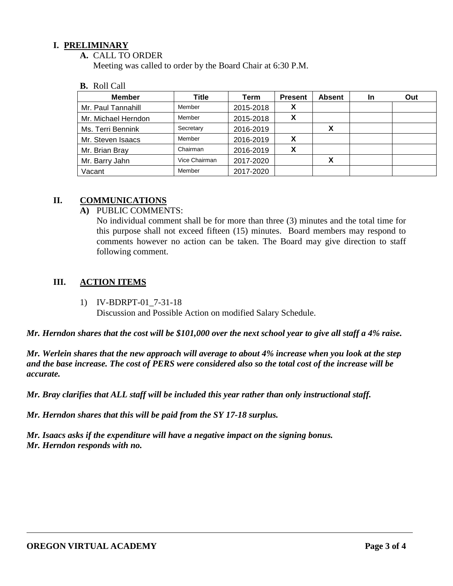## **I. PRELIMINARY**

## **A.** CALL TO ORDER

Meeting was called to order by the Board Chair at 6:30 P.M.

#### **B.** Roll Call

| <b>Member</b>       | Title         | Term      | <b>Present</b> | <b>Absent</b> | In | Out |
|---------------------|---------------|-----------|----------------|---------------|----|-----|
| Mr. Paul Tannahill  | Member        | 2015-2018 | X              |               |    |     |
| Mr. Michael Herndon | Member        | 2015-2018 | Х              |               |    |     |
| Ms. Terri Bennink   | Secretary     | 2016-2019 |                | X             |    |     |
| Mr. Steven Isaacs   | Member        | 2016-2019 |                |               |    |     |
| Mr. Brian Bray      | Chairman      | 2016-2019 | Х              |               |    |     |
| Mr. Barry Jahn      | Vice Chairman | 2017-2020 |                | X             |    |     |
| Vacant              | Member        | 2017-2020 |                |               |    |     |

### **II. COMMUNICATIONS**

### **A)** PUBLIC COMMENTS:

No individual comment shall be for more than three (3) minutes and the total time for this purpose shall not exceed fifteen (15) minutes. Board members may respond to comments however no action can be taken. The Board may give direction to staff following comment.

## **III. ACTION ITEMS**

1) IV-BDRPT-01\_7-31-18

Discussion and Possible Action on modified Salary Schedule.

*Mr. Herndon shares that the cost will be \$101,000 over the next school year to give all staff a 4% raise.* 

*Mr. Werlein shares that the new approach will average to about 4% increase when you look at the step and the base increase. The cost of PERS were considered also so the total cost of the increase will be accurate.* 

*Mr. Bray clarifies that ALL staff will be included this year rather than only instructional staff.*

*Mr. Herndon shares that this will be paid from the SY 17-18 surplus.* 

*Mr. Isaacs asks if the expenditure will have a negative impact on the signing bonus. Mr. Herndon responds with no.*